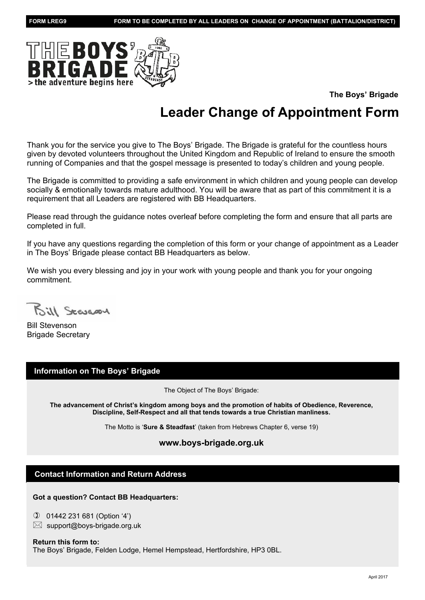

**The Boys' Brigade**

# **Leader Change of Appointment Form**

Thank you for the service you give to The Boys' Brigade. The Brigade is grateful for the countless hours given by devoted volunteers throughout the United Kingdom and Republic of Ireland to ensure the smooth running of Companies and that the gospel message is presented to today's children and young people.

The Brigade is committed to providing a safe environment in which children and young people can develop socially & emotionally towards mature adulthood. You will be aware that as part of this commitment it is a requirement that all Leaders are registered with BB Headquarters.

Please read through the guidance notes overleaf before completing the form and ensure that all parts are completed in full.

If you have any questions regarding the completion of this form or your change of appointment as a Leader in The Boys' Brigade please contact BB Headquarters as below.

We wish you every blessing and joy in your work with young people and thank you for your ongoing commitment.

Bill Scancon

Bill Stevenson Brigade Secretary

### **Information on The Boys' Brigade**

The Object of The Boys' Brigade:

**The advancement of Christ's kingdom among boys and the promotion of habits of Obedience, Reverence, Discipline, Self-Respect and all that tends towards a true Christian manliness.**

The Motto is '**Sure & Steadfast**' (taken from Hebrews Chapter 6, verse 19)

#### **www.boys-brigade.org.uk**

### **Contact Information and Return Address**

**Got a question? Contact BB Headquarters:**

✆ 01442 231 681 (Option '4')  $\boxtimes$  support@boys-brigade.org.uk

#### **Return this form to:**

The Boys' Brigade, Felden Lodge, Hemel Hempstead, Hertfordshire, HP3 0BL.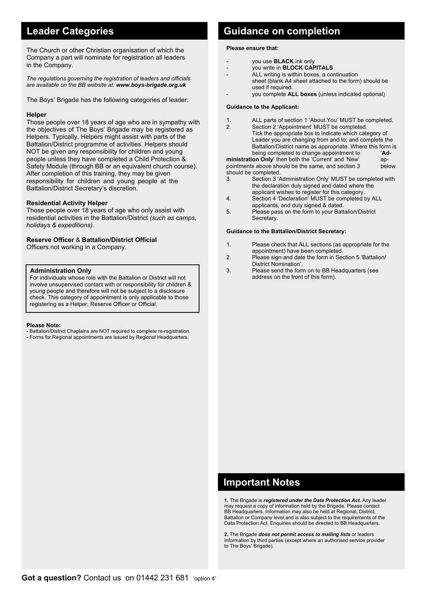The Church or other Christian organisation of which the Company a part will nominate for registration all leaders in the Company.

*The regulations governing the registration of leaders and officials are available on the BB website at: www.boys-brigade.org.uk*

The Boys' Brigade has the following categories of leader:

#### **Helper**

Those people over 18 years of age who are in sympathy with the objectives of The Boys' Brigade may be registered as Helpers. Typically, Helpers might assist with parts of the Battalion/District programme of activities. Helpers should NOT be given any responsibility for children and young people unless they have completed a Child Protection & Safety Module (through BB or an equivalent church course). After completion of this training, they may be given responsibility for children and young people at the Battalion/District Secretary's discretion.

#### **Residential Activity Helper**

Those people over 18 years of age who only assist with residential activities in the Battalion/District *(such as camps, holidays & expeditions)*.

#### **Reserve Officer** & **Battalion/District Official**

Officers not working in a Company.

#### **Administration Only**

 For individuals whose role with the Battalion or District will not involve unsupervised contact with or responsibility for children & young people and therefore will not be subject to a disclosure check. This category of appointment is only applicable to those registering as a Helper, Reserve Officer or Official.

#### **Please Note:**

**-** Battalion/District Chaplains are NOT required to complete re-registration. **-** Forms for Regional appointments are issued by Regional Headquarters.

### **Leader Categories Categories Cuidance on completion**

#### **Please ensure that:**

- you use **BLACK** ink only
- you write in **BLOCK CAPITALS**
- ALL writing is within boxes, a continuation sheet (blank A4 sheet attached to the form) should be used if required.
	- you complete **ALL boxes** (unless indicated optional)

#### **Guidance to the Applicant:**

- 1. ALL parts of section 1 'About You' MUST be completed.
- 2. Section 2 'Appointment' MUST be completed. Tick the appropriate box to indicate which category of Leader you are changing from and to; and complete the Battalion/District name as appropriate. Where this form is being completed to change appointment to '**Ad-**

**ministration Only**' then both the 'Current' and 'New' ap-<br>pointments above should be the same, and section 3 below pointments above should be the same, and section 3 should be completed.

- 3. Section 3 'Administration Only' MUST be completed with the declaration duly signed and dated where the applicant wishes to register for this category.
- 4. Section 4 'Declaration' MUST be completed by ALL
- applicants, and duly signed & dated. 5. Please pass on the form to your Battalion/District
- Secretary.

#### **Guidance to the Battalion/District Secretary:**

- 1. Please check that ALL sections (as appropriate for the appointment) have been completed.<br>2. Please sign and date the form in Se
- Please sign and date the form in Section 5 'Battalion/ District Nomination'.<br>Blease send the form
- Please send the form on to BB Headquarters (see address on the front of this form).

### **Important Notes**

**1.** The Brigade is *registered under the Data Protection Act*. Any leader may request a copy of information held by the Brigade. Please contact BB Headquarters. Information may also be held at Regional, District, Battalion or Company level and is also subject to the requirements of the Data Protection Act. Enquiries should be directed to BB Headquarters.

**2.** The Brigade *does not permit access to mailing lists* or leaders Information by third parties (except where an authorised service provider to The Boys' Brigade).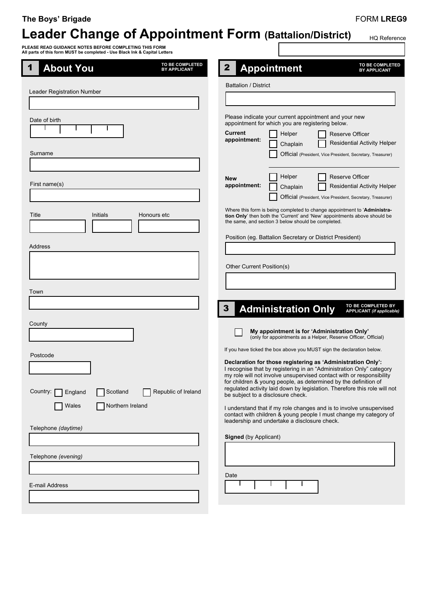### **The Boys' Brigade**

# **Leader Change of Appointment Form (Battalion/District)**

Г

HQ Reference

**PLEASE READ GUIDANCE NOTES BEFORE COMPLETING THIS FORM All parts of this form MUST be completed - Use Black Ink & Capital Letters**

| All parts of this form most be completed - Ose Diack lik & Capital Letters<br>TO BE COMPLETED<br><b>About You</b><br>1<br><b>BY APPLICANT</b> | TO BE COMPLETED<br>$\mathbf{2}$<br><b>Appointment</b>                                                                                    |
|-----------------------------------------------------------------------------------------------------------------------------------------------|------------------------------------------------------------------------------------------------------------------------------------------|
|                                                                                                                                               | <b>BY APPLICANT</b>                                                                                                                      |
| Leader Registration Number                                                                                                                    | <b>Battalion / District</b>                                                                                                              |
|                                                                                                                                               |                                                                                                                                          |
| Date of birth                                                                                                                                 | Please indicate your current appointment and your new<br>appointment for which you are registering below.                                |
|                                                                                                                                               | <b>Current</b><br>Helper<br><b>Reserve Officer</b><br>appointment:<br>Residential Activity Helper<br>Chaplain                            |
| Surname                                                                                                                                       | Official (President, Vice President, Secretary, Treasurer)                                                                               |
|                                                                                                                                               | Helper<br><b>Reserve Officer</b><br><b>New</b>                                                                                           |
| First name(s)                                                                                                                                 | appointment:<br>Residential Activity Helper<br>Chaplain                                                                                  |
|                                                                                                                                               | Official (President, Vice President, Secretary, Treasurer)<br>Where this form is being completed to change appointment to 'Administra-   |
| Title<br>Initials<br>Honours etc                                                                                                              | tion Only' then both the 'Current' and 'New' appointments above should be<br>the same, and section 3 below should be completed.          |
|                                                                                                                                               | Position (eg. Battalion Secretary or District President)                                                                                 |
| Address                                                                                                                                       |                                                                                                                                          |
|                                                                                                                                               | Other Current Position(s)                                                                                                                |
|                                                                                                                                               |                                                                                                                                          |
| Town                                                                                                                                          | TO BE COMPLETED BY                                                                                                                       |
|                                                                                                                                               | 3<br><b>Administration Only</b><br><b>APPLICANT</b> (if applicable)                                                                      |
| County                                                                                                                                        | My appointment is for 'Administration Only'<br>(only for appointments as a Helper, Reserve Officer, Official)                            |
|                                                                                                                                               | If you have ticked the box above you MUST sign the declaration below.                                                                    |
| Postcode                                                                                                                                      | Declaration for those registering as 'Administration Only':<br>I recognise that by registering in an "Administration Only" category      |
|                                                                                                                                               | my role will not involve unsupervised contact with or responsibility<br>for children & young people, as determined by the definition of  |
| Country:<br>Scotland<br>Republic of Ireland<br>England                                                                                        | regulated activity laid down by legislation. Therefore this role will not<br>be subject to a disclosure check.                           |
| Northern Ireland<br>Wales                                                                                                                     | I understand that if my role changes and is to involve unsupervised<br>contact with children & young people I must change my category of |
| Telephone (daytime)                                                                                                                           | leadership and undertake a disclosure check.                                                                                             |
|                                                                                                                                               | <b>Signed</b> (by Applicant)                                                                                                             |
| Telephone (evening)<br>$\mathcal{L}_{\mathcal{A}}$                                                                                            |                                                                                                                                          |
|                                                                                                                                               | Date                                                                                                                                     |
| E-mail Address                                                                                                                                |                                                                                                                                          |
|                                                                                                                                               |                                                                                                                                          |